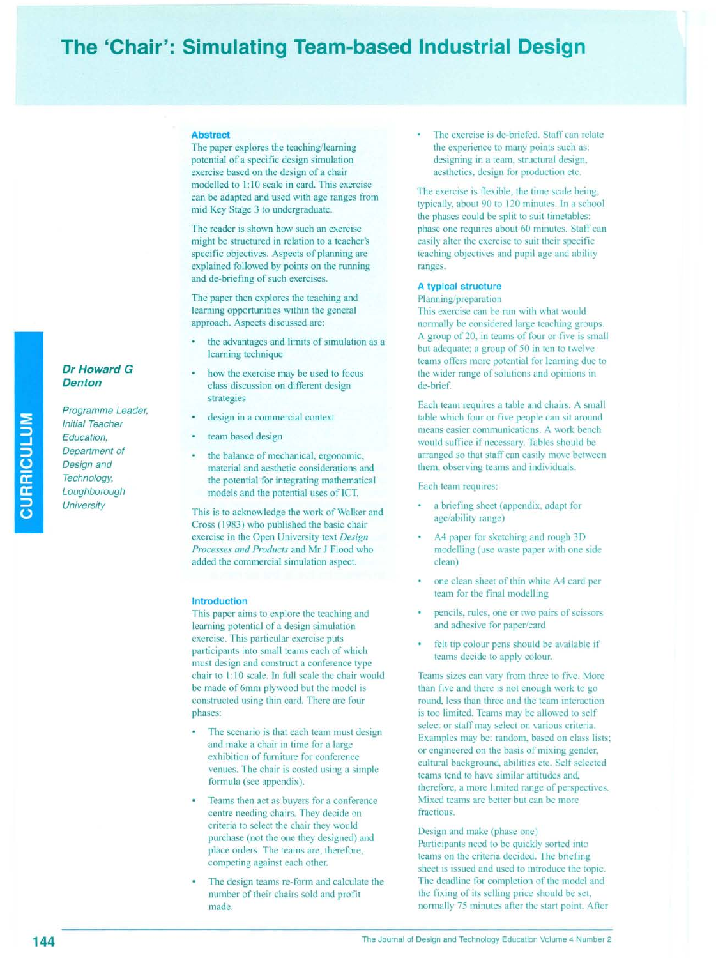# **The 'Chair': Simulating Team-based Industrial Design**

#### **Abstract**

The paper explores the teaching/learning potential of a specific design simulation exercise based on the design of a chair modelled to 1:10 scale in card. This exercise can be adapted and used with age ranges from mid Key Stage 3 to undergraduate.

The reader is shown how such an exercise might be structured in relation to a teacher's specific objectives. Aspects of planning are explained followed by points on the running and de-briefing of such exercises.

The paper then explores the teaching and learning opportunities within the general approach. Aspects discussed are:

- the advantages and limits of simulation as a learning technique
- how the exercise may be used to focus class discussion on different design strategies
- design in a commercial context
- team based design
- the balance of mechanical, ergonomic, material and aesthetic considerations and the potential for integrating mathematical models and the potential uses of ICT.

This is to acknowledge the work of Walker and Cross (1983) who published the basic chair exercise in the Open University text *Design Processes and Products* and Mr J Flood who added the commercial simulation aspect.

#### **Introduction**

This paper aims to explore the teaching and learning potential of a design simulation exercise. This particular exercise puts participants into small teams each of which must design and construct a conference type chair to I: 10 scale. In full scale the chair would be made of 6mm plywood but the model is constructed using thin card. There are four phases:

- The scenario is that each team must design and make a chair in time for a large exhibition of furniture for conference venues. The chair is costed using a simple formula (see appendix).
- Teams then act as buyers for a conference centre needing chairs. They decide on criteria to select the chair they would purchase (not the one they designed) and place orders. The teams are, therefore, competing against each other.
- The design teams re-form and calculate the number of their chairs sold and profit made.

The exercise is de-briefed. Staff can relate the experience to many points such as: designing in a team, structural design, aesthetics, design for production etc.

The exercise is flexible, the time scale being, typically, about 90 to 120 minutes. In a school the phases could be split to suit timetables: phase one requires about 60 minutes. Staff can easily alter the exercise to suit their specific teaching objectives and pupil age and ability ranges.

# **A typical structure**

#### Planning/preparation

This exercise can be run with what would normally be considered large teaching groups. A group of 20, in teams of four or five is small but adequate; a group of 50 in ten to twelve teams offers more potential for learning due to the wider range of solutions and opinions in de-brief.

Each team requires a table and chairs. A small table which four or five people can sit around means easier communications. A work bench would suffice if necessary. Tables should be arranged so that staff can easily move between them, observing teams and individuals.

Each team requires:

- a briefing sheet (appendix, adapt for age/ability range)
- A4 paper for sketching and rough 3D modelling (use waste paper with one side clean)
- one clean sheet of thin white A4 card per team for the final modelling
- pencils, rules, one or two pairs of scissors and adhesive for paper/card
- felt tip colour pens should be available if teams decide to apply colour.

Teams sizes can vary from three to five. More than five and there is not enough work to go round, less than three and the team interaction is too limited. Teams may be allowed to self select or staff may select on various criteria. Examples may be: random, based on class lists; or engineered on the basis of mixing gender, cultural background, abilities etc. Self selected teams tend to have similar attitudes and, therefore, a more limited range of perspectives. Mixed teams are better but can be more fractious.

Design and make (phase one) Participants need to be quickly sorted into teams on the criteria decided. The briefing sheet is issued and used to introduce the topic. The deadline for completion of the model and the fixing of its selling price should be set, normally 75 minutes after the start point. After

# *Dr Howard* **G** *Denton*

*Programme Leader, Initial Teacher Education, Department of Design and Technology, Loughborough University*

**CURRICULUM**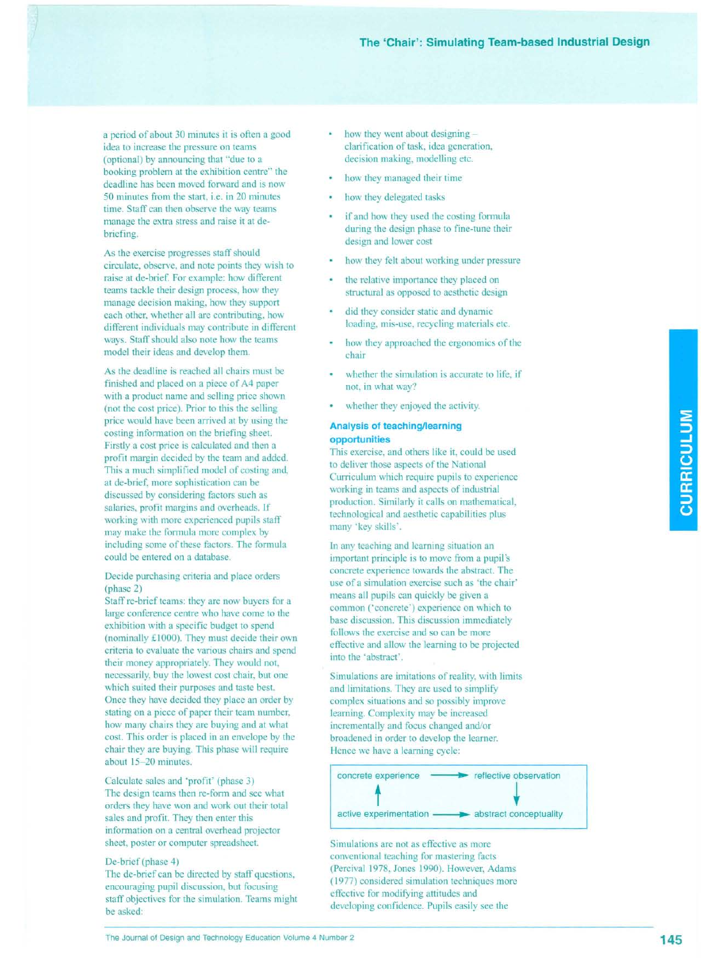a period of about 30 minutes it is often a good idea to increase the pressure on teams (optional) by announcing that "due to a booking problem at the exhibition centre" the deadline has been moved forward and is now 50 minutes from the start, i.e. in 20 minutes time. Staff can then observe the way teams manage the extra stress and raise it at debriefing.

As the exercise progresses staff should circulate, observe, and note points they wish to raise at de-brief. For example: how different teams tackle their design process, how they manage decision making, how they support each other, whether all are contributing, how different individuals may contribute in different ways. Staff should also note how the teams model their ideas and develop them.

As the deadline is reached all chairs must be finished and placed on a piece of A4 paper with a product name and selling price shown (not the cost price). Prior to this the selling price would have been arrived at by using the costing information on the briefing sheet. Firstly a cost price is calculated and then a profit margin decided by the team and added. This a much simplified model of costing and, at de-brief, more sophistication can be discussed by considering factors such as salaries, profit margins and overheads. If working with more experienced pupils staff may make the formula more complex by including some of these factors. The formula could be entered on a database.

#### Decide purchasing criteria and place orders (phase 2)

Staff re-brief teams: they are now buyers for a large conference centre who have come to the exhibition with a specific budget to spend (nominally £1000). They must decide their own criteria to evaluate the various chairs and spend their money appropriately. They would not, necessarily, buy the lowest cost chair, but one which suited their purposes and taste best. Once they have decided they place an order by stating on a piece of paper their team number, how many chairs they are buying and at what cost. This order is placed in an envelope by the chair they are buying. This phase will require about 15-20 minutes.

Calculate sales and 'profit' (phase 3) The design teams then re-fonn and see what orders they have won and work out their total sales and profit. They then enter this information on a central overhead projector sheet, poster or computer spreadsheet.

#### De-brief (phase 4)

The de-brief can be directed by staff questions, encouraging pupil discussion, but focusing staff objectives for the simulation. Teams might be asked:

- how they went about designing clarification of task, idea generation, decision making, modelling etc.
- how they managed their time
- how they delegated tasks
- if and how they used the costing formula during the design phase to fine-tune their design and lower cost
- how they felt about working under pressure
- the relative importance they placed on structural as opposed to aesthetic design
- did they consider static and dynamic loading, mis-use, recycling materials etc.
- how they approached the ergonomics of the chair
- whether the simulation is accurate to life, if not, in what way?
- whether they enjoyed the activity.

## **Analysis of teaching/learning opportunities**

This exercise, and others like it, could be used to deliver those aspects of the National Curriculum which require pupils to experience working in teams and aspects of industrial production. Similarly it calls on mathematical, technological and aesthetic capabilities plus many 'key skills'.

In any teaching and learning situation an important principle is to move from a pupil's concrete experience towards the abstract. The use of a simulation exercise such as 'the chair' means all pupils can quickly be given a common ('concrete') experience on which to base discussion. This discussion immediately follows the exercise and so can be more effective and allow the learning to be projected into the 'abstract'.

Simulations are imitations of reality, with limits and limitations. They are used to simplify complex situations and so possibly improve learning. Complexity may be increased incrementally and focus changed and/or broadened in order to develop the learner. Hence we have a learning cycle:



Simulations are not as effective as more conventional teaching for mastering facts (Percival 1978, Jones 1990). However, Adams (1977) considered simulation techniques more effective for modifying attitudes and developing confidence. Pupils easily see the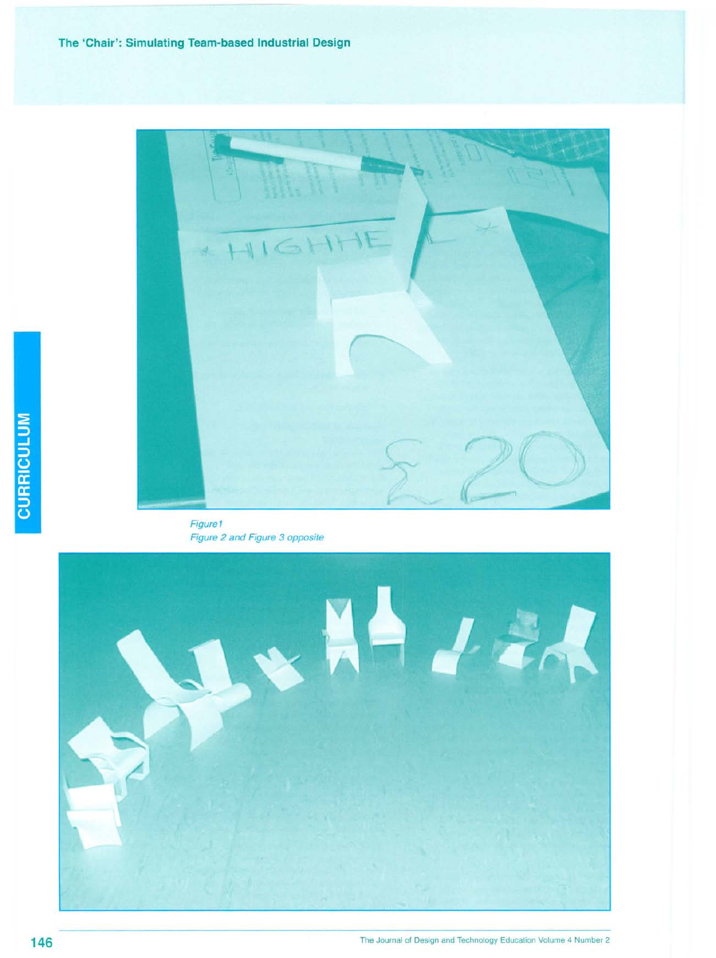

Figure1 Figure 2 and Figure 3 opposite

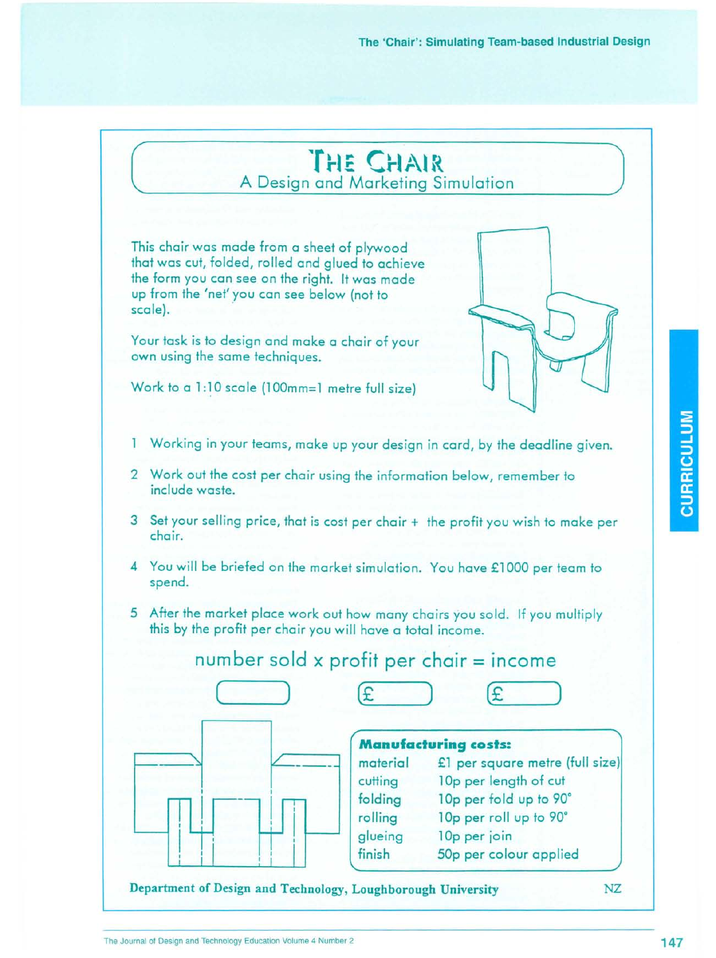# **'r**r **~1"**~**('**..**r~**. **<sup>I</sup>**.•*r\***At** *~\* **<sup>~</sup>** *.* A Design and Marketing Simulatio

This chair was made from a sheet of plywood that was cut, folded, rolled and glued to achieve the form you can see on the right. It was made up from the 'net' you can see below (not to scale).

Your task is to design and make a chair of your own using the same techniques.

Work to a 1:10 scale (100mm=1 metre full size)

- 1 Working in your teams, make up your design in card, by the deadline given.
- 2 Work out the cost per chair using the information below, remember to include waste.
- 3 Set your selling price, that is cost per chair + the profit you wish to make per chair.
- 4 You will be briefed on the market simulation. You have £1000 per team to spend.
- 5 After the market place work out how many chairs you sold. If you multiply this by the profit per chair you will have a total income.